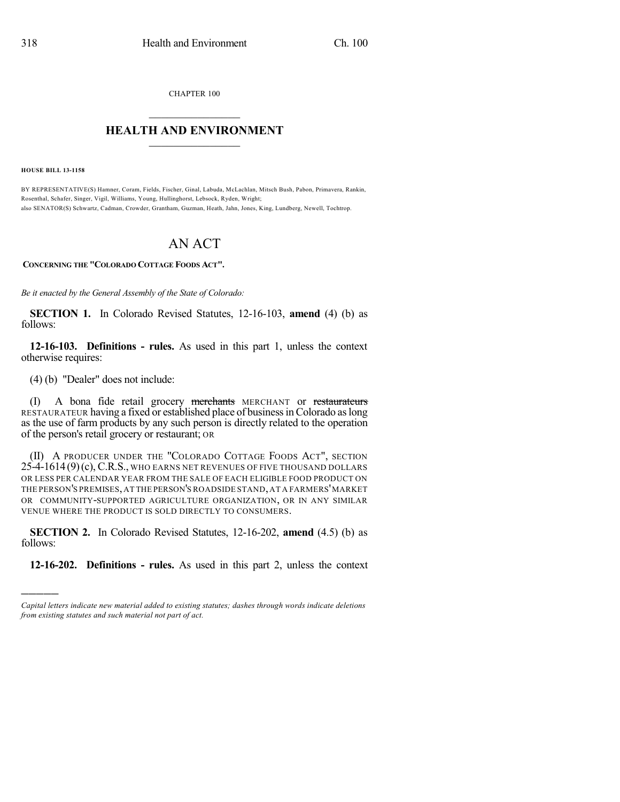CHAPTER 100

## $\mathcal{L}_\text{max}$  . The set of the set of the set of the set of the set of the set of the set of the set of the set of the set of the set of the set of the set of the set of the set of the set of the set of the set of the set **HEALTH AND ENVIRONMENT**  $\_$

**HOUSE BILL 13-1158**

)))))

BY REPRESENTATIVE(S) Hamner, Coram, Fields, Fischer, Ginal, Labuda, McLachlan, Mitsch Bush, Pabon, Primavera, Rankin, Rosenthal, Schafer, Singer, Vigil, Williams, Young, Hullinghorst, Lebsock, Ryden, Wright; also SENATOR(S) Schwartz, Cadman, Crowder, Grantham, Guzman, Heath, Jahn, Jones, King, Lundberg, Newell, Tochtrop.

## AN ACT

**CONCERNING THE "COLORADO COTTAGE FOODS ACT".**

*Be it enacted by the General Assembly of the State of Colorado:*

**SECTION 1.** In Colorado Revised Statutes, 12-16-103, **amend** (4) (b) as follows:

**12-16-103. Definitions - rules.** As used in this part 1, unless the context otherwise requires:

(4) (b) "Dealer" does not include:

(I) A bona fide retail grocery merchants MERCHANT or restaurateurs RESTAURATEUR having a fixed or established place of business in Colorado as long as the use of farm products by any such person is directly related to the operation of the person's retail grocery or restaurant; OR

(II) A PRODUCER UNDER THE "COLORADO COTTAGE FOODS ACT", SECTION 25-4-1614 (9)(c), C.R.S., WHO EARNS NET REVENUES OF FIVE THOUSAND DOLLARS OR LESS PER CALENDAR YEAR FROM THE SALE OF EACH ELIGIBLE FOOD PRODUCT ON THE PERSON'S PREMISES,AT THE PERSON'S ROADSIDE STAND,AT A FARMERS'MARKET OR COMMUNITY-SUPPORTED AGRICULTURE ORGANIZATION, OR IN ANY SIMILAR VENUE WHERE THE PRODUCT IS SOLD DIRECTLY TO CONSUMERS.

**SECTION 2.** In Colorado Revised Statutes, 12-16-202, **amend** (4.5) (b) as follows:

**12-16-202. Definitions - rules.** As used in this part 2, unless the context

*Capital letters indicate new material added to existing statutes; dashes through words indicate deletions from existing statutes and such material not part of act.*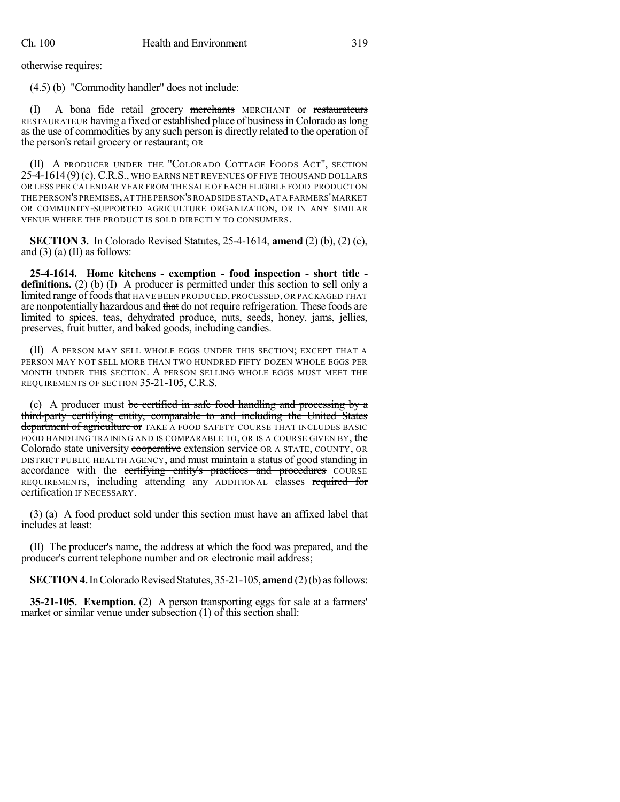otherwise requires:

(4.5) (b) "Commodity handler" does not include:

(I) A bona fide retail grocery merchants MERCHANT or restaurateurs RESTAURATEUR having a fixed or established place of businessinColorado aslong asthe use of commodities by any such person is directly related to the operation of the person's retail grocery or restaurant; OR

(II) A PRODUCER UNDER THE "COLORADO COTTAGE FOODS ACT", SECTION 25-4-1614 (9)(c), C.R.S., WHO EARNS NET REVENUES OF FIVE THOUSAND DOLLARS OR LESS PER CALENDAR YEAR FROM THE SALE OF EACH ELIGIBLE FOOD PRODUCT ON THE PERSON'S PREMISES,AT THE PERSON'S ROADSIDE STAND,AT A FARMERS'MARKET OR COMMUNITY-SUPPORTED AGRICULTURE ORGANIZATION, OR IN ANY SIMILAR VENUE WHERE THE PRODUCT IS SOLD DIRECTLY TO CONSUMERS.

**SECTION 3.** In Colorado Revised Statutes, 25-4-1614, **amend** (2) (b), (2) (c), and  $(3)$  (a) (II) as follows:

**25-4-1614. Home kitchens - exemption - food inspection - short title definitions.** (2) (b) (I) A producer is permitted under this section to sell only a limited range of foods that HAVE BEEN PRODUCED, PROCESSED, OR PACKAGED THAT are nonpotentially hazardous and that do not require refrigeration. These foods are limited to spices, teas, dehydrated produce, nuts, seeds, honey, jams, jellies, preserves, fruit butter, and baked goods, including candies.

(II) A PERSON MAY SELL WHOLE EGGS UNDER THIS SECTION; EXCEPT THAT A PERSON MAY NOT SELL MORE THAN TWO HUNDRED FIFTY DOZEN WHOLE EGGS PER MONTH UNDER THIS SECTION. A PERSON SELLING WHOLE EGGS MUST MEET THE REQUIREMENTS OF SECTION 35-21-105, C.R.S.

(c) A producer must be certified in safe food handling and processing by a third-party certifying entity, comparable to and including the United States department of agriculture or TAKE A FOOD SAFETY COURSE THAT INCLUDES BASIC FOOD HANDLING TRAINING AND IS COMPARABLE TO, OR IS A COURSE GIVEN BY, the Colorado state university cooperative extension service OR A STATE, COUNTY, OR DISTRICT PUBLIC HEALTH AGENCY, and must maintain a status of good standing in accordance with the eertifying entity's practices and procedures COURSE REQUIREMENTS, including attending any ADDITIONAL classes required for certification IF NECESSARY.

(3) (a) A food product sold under this section must have an affixed label that includes at least:

(II) The producer's name, the address at which the food was prepared, and the producer's current telephone number and OR electronic mail address;

**SECTION 4.** In Colorado Revised Statutes, 35-21-105, **amend** (2)(b) as follows:

**35-21-105. Exemption.** (2) A person transporting eggs for sale at a farmers' market or similar venue under subsection (1) of this section shall: